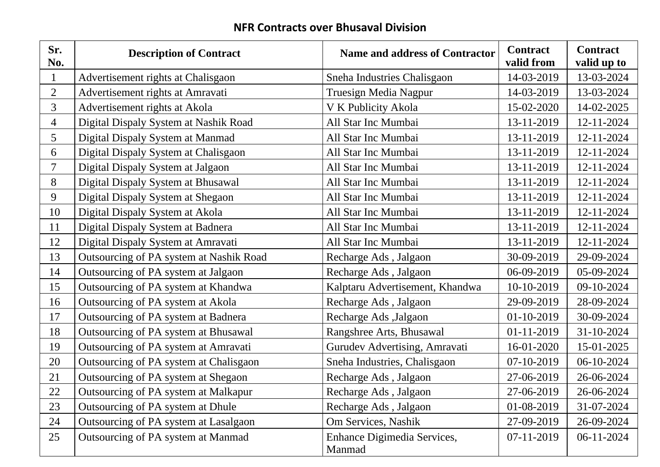## **NFR Contracts over Bhusaval Division**

| Sr.<br>No.               | <b>Description of Contract</b>          | <b>Name and address of Contractor</b> | <b>Contract</b><br>valid from | <b>Contract</b><br>valid up to |
|--------------------------|-----------------------------------------|---------------------------------------|-------------------------------|--------------------------------|
|                          | Advertisement rights at Chalisgaon      | Sneha Industries Chalisgaon           | 14-03-2019                    | 13-03-2024                     |
| $\overline{2}$           | Advertisement rights at Amravati        | <b>Truesign Media Nagpur</b>          | 14-03-2019                    | 13-03-2024                     |
| $\overline{3}$           | Advertisement rights at Akola           | V K Publicity Akola                   | 15-02-2020                    | 14-02-2025                     |
| $\overline{4}$           | Digital Dispaly System at Nashik Road   | All Star Inc Mumbai                   | 13-11-2019                    | 12-11-2024                     |
| 5 <sup>5</sup>           | Digital Dispaly System at Manmad        | All Star Inc Mumbai                   | 13-11-2019                    | 12-11-2024                     |
| 6                        | Digital Dispaly System at Chalisgaon    | All Star Inc Mumbai                   | 13-11-2019                    | 12-11-2024                     |
| $\overline{\mathcal{L}}$ | Digital Dispaly System at Jalgaon       | All Star Inc Mumbai                   | 13-11-2019                    | 12-11-2024                     |
| 8                        | Digital Dispaly System at Bhusawal      | All Star Inc Mumbai                   | 13-11-2019                    | 12-11-2024                     |
| 9                        | Digital Dispaly System at Shegaon       | All Star Inc Mumbai                   | 13-11-2019                    | 12-11-2024                     |
| 10                       | Digital Dispaly System at Akola         | All Star Inc Mumbai                   | 13-11-2019                    | 12-11-2024                     |
| 11                       | Digital Dispaly System at Badnera       | All Star Inc Mumbai                   | 13-11-2019                    | 12-11-2024                     |
| 12                       | Digital Dispaly System at Amravati      | All Star Inc Mumbai                   | 13-11-2019                    | 12-11-2024                     |
| 13                       | Outsourcing of PA system at Nashik Road | Recharge Ads, Jalgaon                 | 30-09-2019                    | 29-09-2024                     |
| 14                       | Outsourcing of PA system at Jalgaon     | Recharge Ads, Jalgaon                 | 06-09-2019                    | 05-09-2024                     |
| 15                       | Outsourcing of PA system at Khandwa     | Kalptaru Advertisement, Khandwa       | 10-10-2019                    | 09-10-2024                     |
| 16                       | Outsourcing of PA system at Akola       | Recharge Ads, Jalgaon                 | 29-09-2019                    | 28-09-2024                     |
| 17                       | Outsourcing of PA system at Badnera     | Recharge Ads , Jalgaon                | 01-10-2019                    | 30-09-2024                     |
| 18                       | Outsourcing of PA system at Bhusawal    | Rangshree Arts, Bhusawal              | 01-11-2019                    | 31-10-2024                     |
| 19                       | Outsourcing of PA system at Amravati    | Gurudev Advertising, Amravati         | 16-01-2020                    | 15-01-2025                     |
| 20                       | Outsourcing of PA system at Chalisgaon  | Sneha Industries, Chalisgaon          | 07-10-2019                    | 06-10-2024                     |
| 21                       | Outsourcing of PA system at Shegaon     | Recharge Ads, Jalgaon                 | 27-06-2019                    | 26-06-2024                     |
| 22                       | Outsourcing of PA system at Malkapur    | Recharge Ads, Jalgaon                 | 27-06-2019                    | 26-06-2024                     |
| 23                       | Outsourcing of PA system at Dhule       | Recharge Ads, Jalgaon                 | 01-08-2019                    | 31-07-2024                     |
| 24                       | Outsourcing of PA system at Lasalgaon   | Om Services, Nashik                   | 27-09-2019                    | 26-09-2024                     |
| 25                       | Outsourcing of PA system at Manmad      | Enhance Digimedia Services,<br>Manmad | 07-11-2019                    | 06-11-2024                     |